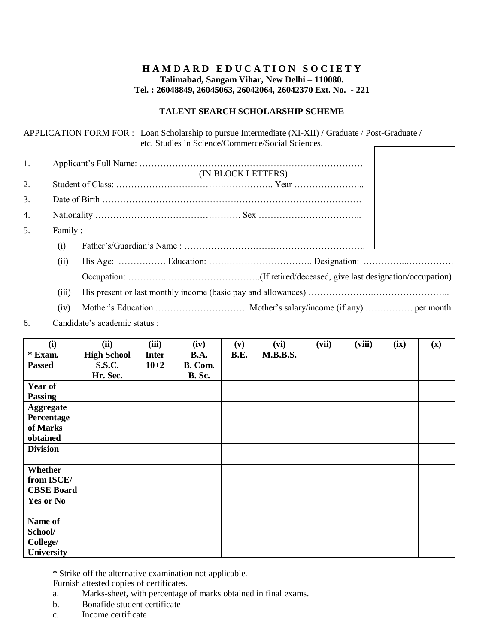## **HAMDARD EDUCATION SOCIETY Talimabad, Sangam Vihar, New Delhi – 110080. Tel. : 26048849, 26045063, 26042064, 26042370 Ext. No. - 221**

### **TALENT SEARCH SCHOLARSHIP SCHEME**

|    |         | APPLICATION FORM FOR: Loan Scholarship to pursue Intermediate (XI-XII) / Graduate / Post-Graduate /<br>etc. Studies in Science/Commerce/Social Sciences. |  |  |  |  |  |  |
|----|---------|----------------------------------------------------------------------------------------------------------------------------------------------------------|--|--|--|--|--|--|
| 1. |         | (IN BLOCK LETTERS)                                                                                                                                       |  |  |  |  |  |  |
| 2. |         |                                                                                                                                                          |  |  |  |  |  |  |
| 3. |         |                                                                                                                                                          |  |  |  |  |  |  |
| 4. |         |                                                                                                                                                          |  |  |  |  |  |  |
| 5. | Family: |                                                                                                                                                          |  |  |  |  |  |  |
|    | (i)     |                                                                                                                                                          |  |  |  |  |  |  |
|    | (ii)    |                                                                                                                                                          |  |  |  |  |  |  |
|    |         |                                                                                                                                                          |  |  |  |  |  |  |
|    | (iii)   |                                                                                                                                                          |  |  |  |  |  |  |

(iv) Mother's Education …………………………. Mother's salary/income (if any) ……………. per month

6. Candidate's academic status :

| (i)               | (ii)               | (iii)        | (iv)          | (v)         | (vi)            | (vii) | (viii) | (ix) | $(\mathbf{x})$ |
|-------------------|--------------------|--------------|---------------|-------------|-----------------|-------|--------|------|----------------|
| * Exam.           | <b>High School</b> | <b>Inter</b> | <b>B.A.</b>   | <b>B.E.</b> | <b>M.B.B.S.</b> |       |        |      |                |
| <b>Passed</b>     | <b>S.S.C.</b>      | $10 + 2$     | B. Com.       |             |                 |       |        |      |                |
|                   | Hr. Sec.           |              | <b>B.</b> Sc. |             |                 |       |        |      |                |
| <b>Year of</b>    |                    |              |               |             |                 |       |        |      |                |
| <b>Passing</b>    |                    |              |               |             |                 |       |        |      |                |
| Aggregate         |                    |              |               |             |                 |       |        |      |                |
| Percentage        |                    |              |               |             |                 |       |        |      |                |
| of Marks          |                    |              |               |             |                 |       |        |      |                |
| obtained          |                    |              |               |             |                 |       |        |      |                |
| <b>Division</b>   |                    |              |               |             |                 |       |        |      |                |
|                   |                    |              |               |             |                 |       |        |      |                |
| Whether           |                    |              |               |             |                 |       |        |      |                |
| from ISCE/        |                    |              |               |             |                 |       |        |      |                |
| <b>CBSE Board</b> |                    |              |               |             |                 |       |        |      |                |
| Yes or No         |                    |              |               |             |                 |       |        |      |                |
|                   |                    |              |               |             |                 |       |        |      |                |
| Name of           |                    |              |               |             |                 |       |        |      |                |
| School/           |                    |              |               |             |                 |       |        |      |                |
| College/          |                    |              |               |             |                 |       |        |      |                |
| University        |                    |              |               |             |                 |       |        |      |                |

\* Strike off the alternative examination not applicable.

Furnish attested copies of certificates.

- a. Marks-sheet, with percentage of marks obtained in final exams.
- b. Bonafide student certificate
- c. Income certificate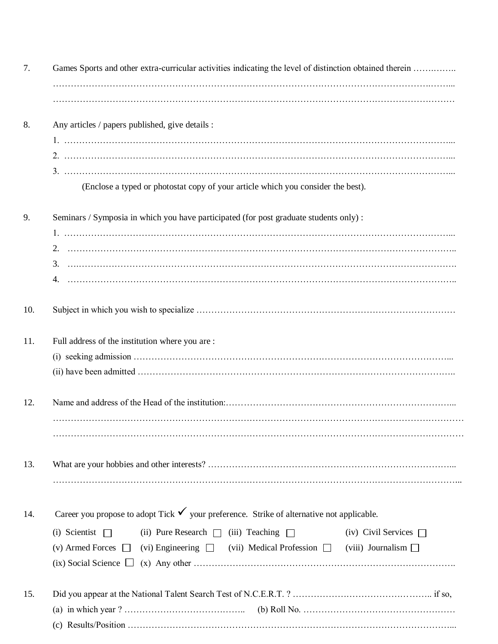| 7.  | Games Sports and other extra-curricular activities indicating the level of distinction obtained therein  |  |  |  |  |  |  |
|-----|----------------------------------------------------------------------------------------------------------|--|--|--|--|--|--|
|     |                                                                                                          |  |  |  |  |  |  |
|     |                                                                                                          |  |  |  |  |  |  |
| 8.  | Any articles / papers published, give details :                                                          |  |  |  |  |  |  |
|     |                                                                                                          |  |  |  |  |  |  |
|     |                                                                                                          |  |  |  |  |  |  |
|     |                                                                                                          |  |  |  |  |  |  |
|     | (Enclose a typed or photostat copy of your article which you consider the best).                         |  |  |  |  |  |  |
| 9.  | Seminars / Symposia in which you have participated (for post graduate students only) :                   |  |  |  |  |  |  |
|     |                                                                                                          |  |  |  |  |  |  |
|     |                                                                                                          |  |  |  |  |  |  |
|     |                                                                                                          |  |  |  |  |  |  |
| 10. |                                                                                                          |  |  |  |  |  |  |
| 11. | Full address of the institution where you are:                                                           |  |  |  |  |  |  |
|     |                                                                                                          |  |  |  |  |  |  |
|     |                                                                                                          |  |  |  |  |  |  |
| 12. |                                                                                                          |  |  |  |  |  |  |
|     |                                                                                                          |  |  |  |  |  |  |
|     |                                                                                                          |  |  |  |  |  |  |
| 13. |                                                                                                          |  |  |  |  |  |  |
|     |                                                                                                          |  |  |  |  |  |  |
| 14. | Career you propose to adopt Tick $\checkmark$ your preference. Strike of alternative not applicable.     |  |  |  |  |  |  |
|     | $(i)$ Scientist $\Box$<br>(ii) Pure Research $\Box$ (iii) Teaching $\Box$<br>(iv) Civil Services $\Box$  |  |  |  |  |  |  |
|     | (v) Armed Forces $\Box$ (vi) Engineering $\Box$ (vii) Medical Profession $\Box$ (viii) Journalism $\Box$ |  |  |  |  |  |  |
|     |                                                                                                          |  |  |  |  |  |  |
| 15. |                                                                                                          |  |  |  |  |  |  |
|     |                                                                                                          |  |  |  |  |  |  |
|     |                                                                                                          |  |  |  |  |  |  |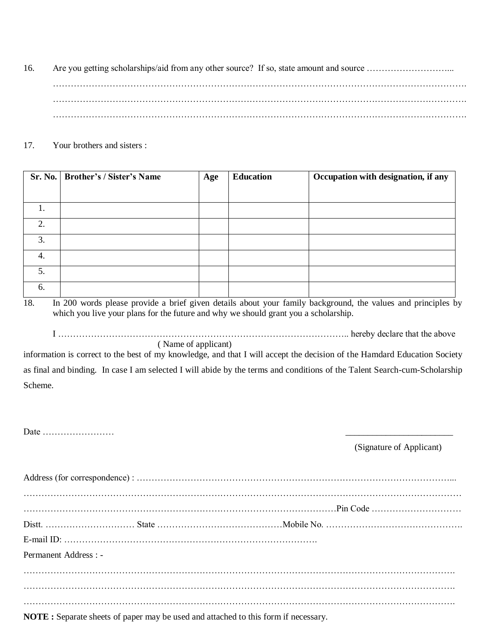16. Are you getting scholarships/aid from any other source? If so, state amount and source ………………………... …………………………………………………………………………………………………………………………. …………………………………………………………………………………………………………………………. ………………………………………………………………………………………………………………………….

### 17. Your brothers and sisters :

|    | Sr. No.   Brother's / Sister's Name | Age | <b>Education</b> | Occupation with designation, if any |
|----|-------------------------------------|-----|------------------|-------------------------------------|
|    |                                     |     |                  |                                     |
| ı. |                                     |     |                  |                                     |
| 2. |                                     |     |                  |                                     |
| 3. |                                     |     |                  |                                     |
| 4. |                                     |     |                  |                                     |
| 5. |                                     |     |                  |                                     |
| 6. |                                     |     |                  |                                     |

18. In 200 words please provide a brief given details about your family background, the values and principles by which you live your plans for the future and why we should grant you a scholarship.

I …………………………………………………………………………………….. hereby declare that the above ( Name of applicant)

information is correct to the best of my knowledge, and that I will accept the decision of the Hamdard Education Society as final and binding. In case I am selected I will abide by the terms and conditions of the Talent Search-cum-Scholarship Scheme.

Date ……………………

(Signature of Applicant)

| Permanent Address : - |  |
|-----------------------|--|
|                       |  |
|                       |  |
|                       |  |

**NOTE :** Separate sheets of paper may be used and attached to this form if necessary.